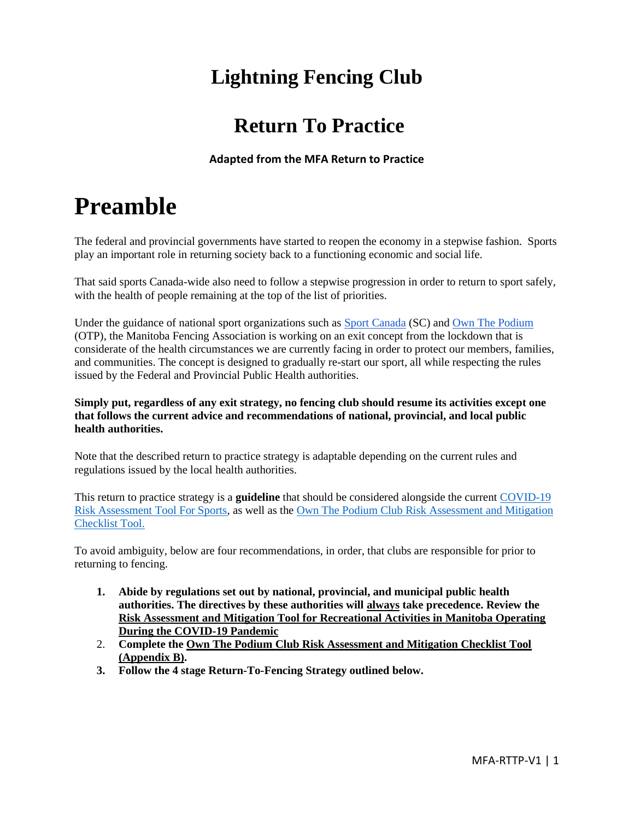## **Lightning Fencing Club**

## **Return To Practice**

### **Adapted from the MFA Return to Practice**

## **Preamble**

The federal and provincial governments have started to reopen the economy in a stepwise fashion. Sports play an important role in returning society back to a functioning economic and social life.

That said sports Canada-wide also need to follow a stepwise progression in order to return to sport safely, with the health of people remaining at the top of the list of priorities.

Under the guidance of national sport organizations such as [Sport Canada](https://www.canada.ca/en/services/culture/sport.html) (SC) and [Own The Podium](https://www.ownthepodium.org/en-CA/) (OTP), the Manitoba Fencing Association is working on an exit concept from the lockdown that is considerate of the health circumstances we are currently facing in order to protect our members, families, and communities. The concept is designed to gradually re-start our sport, all while respecting the rules issued by the Federal and Provincial Public Health authorities.

#### **Simply put, regardless of any exit strategy, no fencing club should resume its activities except one that follows the current advice and recommendations of national, provincial, and local public health authorities.**

Note that the described return to practice strategy is adaptable depending on the current rules and regulations issued by the local health authorities.

This return to practice strategy is a **guideline** that should be considered alongside the current [COVID-19](https://fencingontario.us4.list-manage.com/track/click?u=794563b23f43b646646b44bde&id=e3df408052&e=177fe8b30f)  [Risk Assessment Tool For Sports,](https://fencingontario.us4.list-manage.com/track/click?u=794563b23f43b646646b44bde&id=e3df408052&e=177fe8b30f) as well as the [Own The Podium Club Risk Assessment and Mitigation](https://fencingontario.ca/cms/wp-content/uploads/Appendix-B-OTP-Club-Risk-Assessment-and-Mitigation-Checklist-Tool.xlsx)  [Checklist Tool.](https://fencingontario.ca/cms/wp-content/uploads/Appendix-B-OTP-Club-Risk-Assessment-and-Mitigation-Checklist-Tool.xlsx)

To avoid ambiguity, below are four recommendations, in order, that clubs are responsible for prior to returning to fencing.

- **1. Abide by regulations set out by national, provincial, and municipal public health authorities. The directives by these authorities will always take precedence. Review the [Risk Assessment and Mitigation Tool for Recreational Activities in Manitoba Operating](http://www.manitoba.ca/asset_library/en/coronavirus/activities-guidelines.pdf)  [During the COVID-19 Pandemic](http://www.manitoba.ca/asset_library/en/coronavirus/activities-guidelines.pdf)**
- 2. **Complete the [Own The Podium Club Risk Assessment and Mitigation Checklist Tool](https://fencingontario.ca/cms/wp-content/uploads/Appendix-B-OTP-Club-Risk-Assessment-and-Mitigation-Checklist-Tool.xlsx)  [\(Appendix B\).](https://fencingontario.ca/cms/wp-content/uploads/Appendix-B-OTP-Club-Risk-Assessment-and-Mitigation-Checklist-Tool.xlsx)**
- **3. Follow the 4 stage Return-To-Fencing Strategy outlined below.**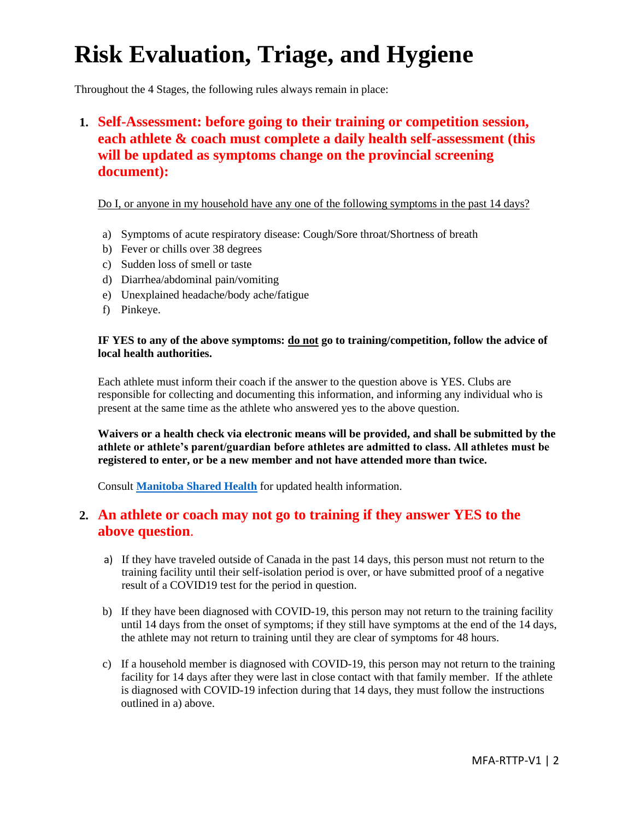# **Risk Evaluation, Triage, and Hygiene**

Throughout the 4 Stages, the following rules always remain in place:

## **1. Self-Assessment: before going to their training or competition session, each athlete & coach must complete a daily health self-assessment (this will be updated as symptoms change on the provincial screening document):**

#### Do I, or anyone in my household have any one of the following symptoms in the past 14 days?

- a) Symptoms of acute respiratory disease: Cough/Sore throat/Shortness of breath
- b) Fever or chills over 38 degrees
- c) Sudden loss of smell or taste
- d) Diarrhea/abdominal pain/vomiting
- e) Unexplained headache/body ache/fatigue
- f) Pinkeye.

#### **IF YES to any of the above symptoms: do not go to training/competition, follow the advice of local health authorities.**

Each athlete must inform their coach if the answer to the question above is YES. Clubs are responsible for collecting and documenting this information, and informing any individual who is present at the same time as the athlete who answered yes to the above question.

**Waivers or a health check via electronic means will be provided, and shall be submitted by the athlete or athlete's parent/guardian before athletes are admitted to class. All athletes must be registered to enter, or be a new member and not have attended more than twice.**

Consult **[Manitoba Shared Health](https://sharedhealthmb.ca/covid19/)** for updated health information.

## **2. An athlete or coach may not go to training if they answer YES to the above question**.

- a) If they have traveled outside of Canada in the past 14 days, this person must not return to the training facility until their self-isolation period is over, or have submitted proof of a negative result of a COVID19 test for the period in question.
- b) If they have been diagnosed with COVID-19, this person may not return to the training facility until 14 days from the onset of symptoms; if they still have symptoms at the end of the 14 days, the athlete may not return to training until they are clear of symptoms for 48 hours.
- c) If a household member is diagnosed with COVID-19, this person may not return to the training facility for 14 days after they were last in close contact with that family member. If the athlete is diagnosed with COVID-19 infection during that 14 days, they must follow the instructions outlined in a) above.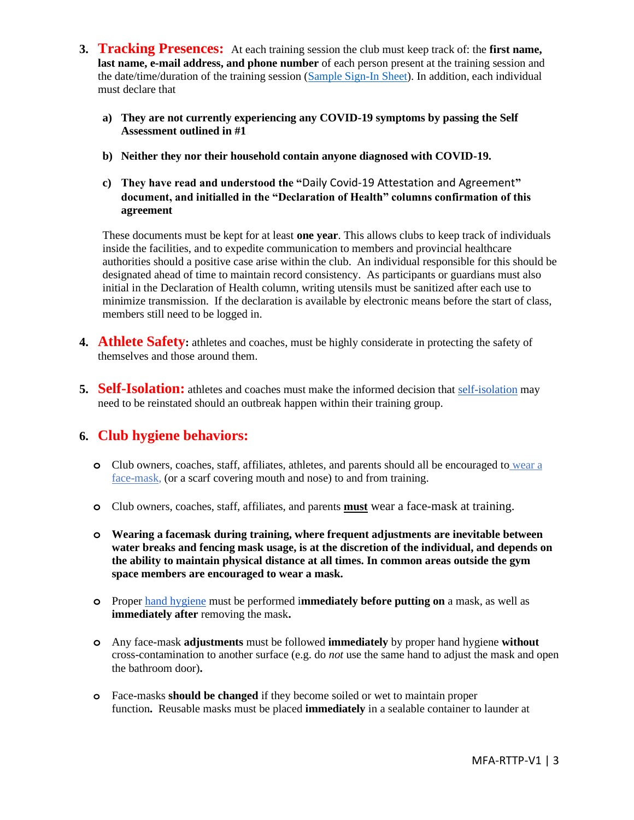- **3. Tracking Presences:** At each training session the club must keep track of: the **first name, last name, e-mail address, and phone number** of each person present at the training session and the date/time/duration of the training session [\(Sample Sign-In Sheet\)](https://docs.google.com/spreadsheets/d/1bTM435eExMW0KONkOMqEF64kfBTPbGtAapvb84qHX64/edit#gid=0). In addition, each individual must declare that
	- **a) They are not currently experiencing any COVID-19 symptoms by passing the Self Assessment outlined in #1**
	- **b) Neither they nor their household contain anyone diagnosed with COVID-19.**
	- **c) They have read and understood the "**Daily Covid-19 Attestation and Agreement**" document, and initialled in the "Declaration of Health" columns confirmation of this agreement**

These documents must be kept for at least **one year**. This allows clubs to keep track of individuals inside the facilities, and to expedite communication to members and provincial healthcare authorities should a positive case arise within the club. An individual responsible for this should be designated ahead of time to maintain record consistency. As participants or guardians must also initial in the Declaration of Health column, writing utensils must be sanitized after each use to minimize transmission. If the declaration is available by electronic means before the start of class, members still need to be logged in.

- **4. Athlete Safety:** athletes and coaches, must be highly considerate in protecting the safety of themselves and those around them.
- **5. Self-Isolation:** athletes and coaches must make the informed decision that [self-isolation](https://www.canada.ca/en/public-health/services/publications/diseases-conditions/covid-19-how-to-isolate-at-home.html) may need to be reinstated should an outbreak happen within their training group.

## **6. Club hygiene behaviors:**

- **o** Club owners, coaches, staff, affiliates, athletes, and parents should all be encouraged to [wear a](https://www.who.int/docs/default-source/epi-win/how-to-use-mask-v0-1-print.pdf?sfvrsn=64ba1493_2)  [face-mask,](https://www.who.int/docs/default-source/epi-win/how-to-use-mask-v0-1-print.pdf?sfvrsn=64ba1493_2) (or a scarf covering mouth and nose) to and from training.
- **o** Club owners, coaches, staff, affiliates, and parents **must** wear a face-mask at training.
- **o Wearing a facemask during training, where frequent adjustments are inevitable between water breaks and fencing mask usage, is at the discretion of the individual, and depends on the ability to maintain physical distance at all times. In common areas outside the gym space members are encouraged to wear a mask.**
- **o** Proper [hand hygiene](https://www.canada.ca/en/public-health/services/video/covid-19-hand-washing.html) must be performed i**mmediately before putting on** a mask, as well as **immediately after** removing the mask**.**
- **o** Any face-mask **adjustments** must be followed **immediately** by proper hand hygiene **without** cross-contamination to another surface (e.g. do *not* use the same hand to adjust the mask and open the bathroom door)**.**
- **o** Face-masks **should be changed** if they become soiled or wet to maintain proper function**.** Reusable masks must be placed **immediately** in a sealable container to launder at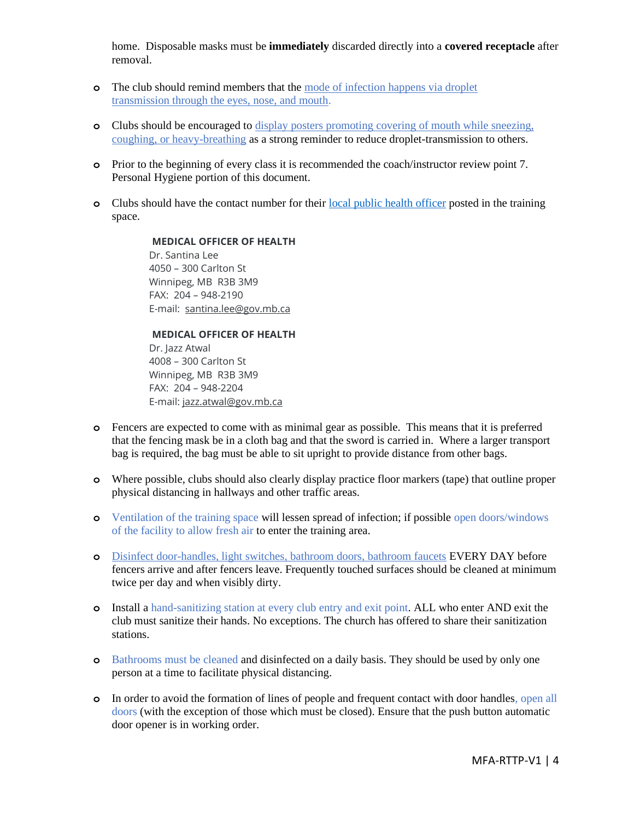home. Disposable masks must be **immediately** discarded directly into a **covered receptacle** after removal.

- **o** The club should remind members that the [mode of infection happens via droplet](https://www.gannett-cdn.com/presto/2020/03/25/USAT/16db0111-6a0e-4387-91ba-0a333ba2e03b-cough.png)  [transmission through the eyes, nose, and mouth.](https://www.gannett-cdn.com/presto/2020/03/25/USAT/16db0111-6a0e-4387-91ba-0a333ba2e03b-cough.png)
- **o** Clubs should be encouraged to display posters promoting covering of mouth while sneezing, [coughing, or heavy-breathing](https://files.constantcontact.com/028b6ad2201/95644e32-6c45-4332-8424-1dbb2e198652.pdf) as a strong reminder to reduce droplet-transmission to others.
- **o** Prior to the beginning of every class it is recommended the coach/instructor review point 7. Personal Hygiene portion of this document.
- **o** Clubs should have the contact number for their [local public health officer](https://www.gov.mb.ca/health/publichealth/contactlist.html) posted in the training space.

#### **MEDICAL OFFICER OF HEALTH**

Dr. Santina Lee 4050 – 300 Carlton St Winnipeg, MB R3B 3M9 FAX: 204 – 948-2190 E-mail: [santina.lee@gov.mb.ca](mailto:santina.lee@gov.mb.ca)

#### **MEDICAL OFFICER OF HEALTH**

Dr. Jazz Atwal 4008 – 300 Carlton St Winnipeg, MB R3B 3M9 FAX: 204 – 948-2204 E-mail: [jazz.atwal@gov.mb.ca](mailto:jazz.atwal@gov.mb.ca)

- **o** Fencers are expected to come with as minimal gear as possible. This means that it is preferred that the fencing mask be in a cloth bag and that the sword is carried in. Where a larger transport bag is required, the bag must be able to sit upright to provide distance from other bags.
- **o** Where possible, clubs should also clearly display practice floor markers (tape) that outline proper physical distancing in hallways and other traffic areas.
- **o** Ventilation of the training space will lessen spread of infection; if possible open doors/windows of the facility to allow fresh air to enter the training area.
- **o** Disinfect [door-handles, light switches, bathroom doors, bathroom faucets](https://www.canada.ca/en/health-canada/services/drugs-health-products/disinfectants/covid-19.html) EVERY DAY before fencers arrive and after fencers leave. Frequently touched surfaces should be cleaned at minimum twice per day and when visibly dirty.
- **o** Install a hand-sanitizing station at every club entry and exit point. ALL who enter AND exit the club must sanitize their hands. No exceptions. The church has offered to share their sanitization stations.
- **o** Bathrooms must be cleaned and disinfected on a daily basis. They should be used by only one person at a time to facilitate physical distancing.
- **o** In order to avoid the formation of lines of people and frequent contact with door handles, open all doors (with the exception of those which must be closed). Ensure that the push button automatic door opener is in working order.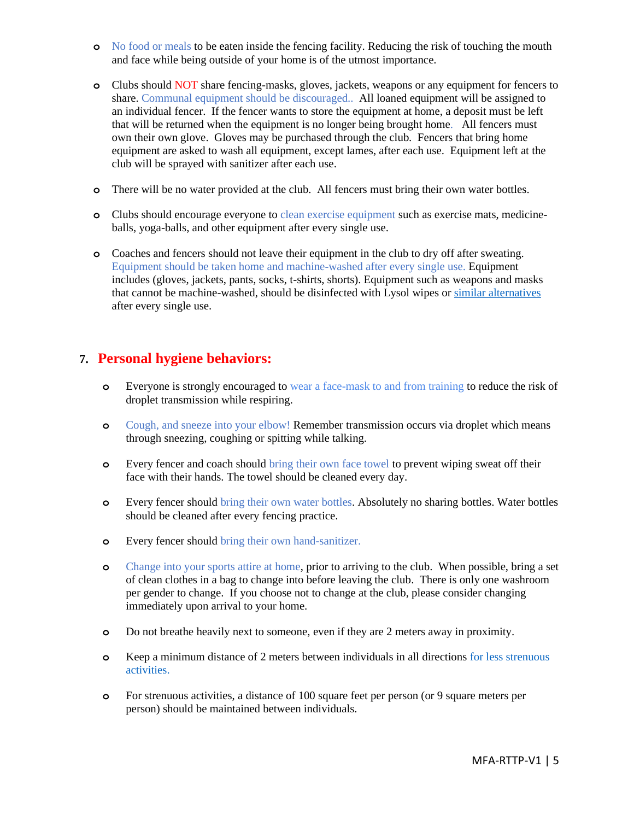- **o** No food or meals to be eaten inside the fencing facility. Reducing the risk of touching the mouth and face while being outside of your home is of the utmost importance.
- **o** Clubs should NOT share fencing-masks, gloves, jackets, weapons or any equipment for fencers to share. Communal equipment should be discouraged.. All loaned equipment will be assigned to an individual fencer. If the fencer wants to store the equipment at home, a deposit must be left that will be returned when the equipment is no longer being brought home. All fencers must own their own glove. Gloves may be purchased through the club. Fencers that bring home equipment are asked to wash all equipment, except lames, after each use. Equipment left at the club will be sprayed with sanitizer after each use.
- **o** There will be no water provided at the club. All fencers must bring their own water bottles.
- **o** Clubs should encourage everyone to clean exercise equipment such as exercise mats, medicineballs, yoga-balls, and other equipment after every single use.
- **o** Coaches and fencers should not leave their equipment in the club to dry off after sweating. Equipment should be taken home and machine-washed after every single use. Equipment includes (gloves, jackets, pants, socks, t-shirts, shorts). Equipment such as weapons and masks that cannot be machine-washed, should be disinfected with Lysol wipes or [similar alternatives](https://www.canada.ca/en/health-canada/services/drugs-health-products/disinfectants/covid-19.html) after every single use.

### **7. Personal hygiene behaviors:**

- **o** Everyone is strongly encouraged to wear a face-mask to and from training to reduce the risk of droplet transmission while respiring.
- **o** Cough, and sneeze into your elbow! Remember transmission occurs via droplet which means through sneezing, coughing or spitting while talking.
- **o** Every fencer and coach should bring their own face towel to prevent wiping sweat off their face with their hands. The towel should be cleaned every day.
- **o** Every fencer should bring their own water bottles. Absolutely no sharing bottles. Water bottles should be cleaned after every fencing practice.
- **o** Every fencer should bring their own hand-sanitizer.
- **o** Change into your sports attire at home, prior to arriving to the club. When possible, bring a set of clean clothes in a bag to change into before leaving the club. There is only one washroom per gender to change. If you choose not to change at the club, please consider changing immediately upon arrival to your home.
- **o** Do not breathe heavily next to someone, even if they are 2 meters away in proximity.
- **o** Keep a minimum distance of 2 meters between individuals in all directions [for less strenuous](https://www.cdc.gov/nccdphp/dnpa/physical/pdf/pa_intensity_table_2_1.pdf?fbclid=IwAR3UxOUKVl3Dv6BpdFm31iQSlFeNqh3NaAMzmJQhfimTNpCCaJX5f9A2ZIg)  [activities.](https://www.cdc.gov/nccdphp/dnpa/physical/pdf/pa_intensity_table_2_1.pdf?fbclid=IwAR3UxOUKVl3Dv6BpdFm31iQSlFeNqh3NaAMzmJQhfimTNpCCaJX5f9A2ZIg)
- **o** For strenuous activities, a distance of 100 square feet per person (or 9 square meters per person) should be maintained between individuals.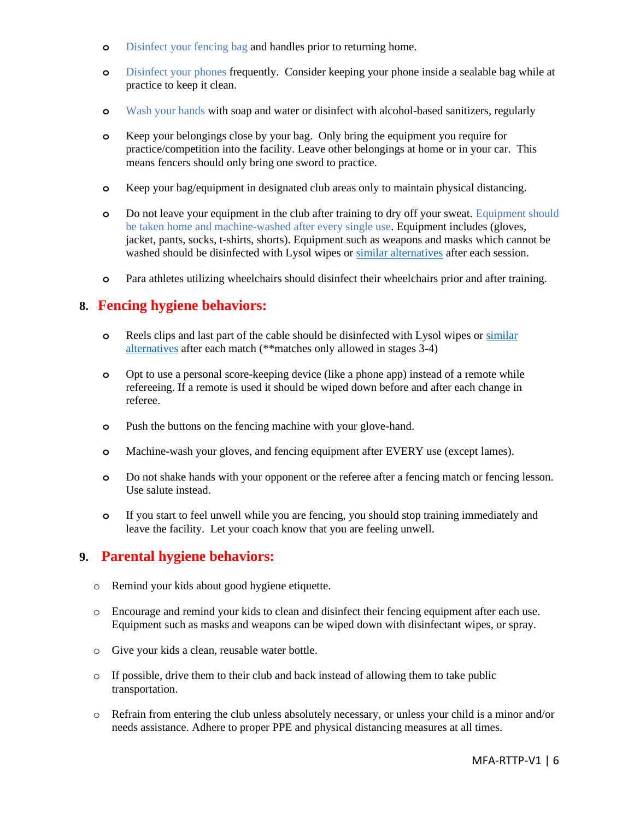- **o** Disinfect your fencing bag and handles prior to returning home.
- **o** Disinfect your phones frequently. Consider keeping your phone inside a sealable bag while at practice to keep it clean.
- **o** Wash your hands with soap and water or disinfect with alcohol-based sanitizers, regularly
- **o** Keep your belongings close by your bag. Only bring the equipment you require for practice/competition into the facility. Leave other belongings at home or in your car. This means fencers should only bring one sword to practice.
- **o** Keep your bag/equipment in designated club areas only to maintain physical distancing.
- **o** Do not leave your equipment in the club after training to dry off your sweat. Equipment should be taken home and machine-washed after every single use. Equipment includes (gloves, jacket, pants, socks, t-shirts, shorts). Equipment such as weapons and masks which cannot be washed should be disinfected with Lysol wipes or [similar alternatives](https://www.canada.ca/en/health-canada/services/drugs-health-products/disinfectants/covid-19.html) after each session.
- **o** Para athletes utilizing wheelchairs should disinfect their wheelchairs prior and after training.

### **8. Fencing hygiene behaviors:**

- **o** Reels clips and last part of the cable should be disinfected with Lysol wipes or [similar](https://www.canada.ca/en/health-canada/services/drugs-health-products/disinfectants/covid-19.html)  [alternatives](https://www.canada.ca/en/health-canada/services/drugs-health-products/disinfectants/covid-19.html) after each match (\*\*matches only allowed in stages 3-4)
- **o** Opt to use a personal score-keeping device (like a phone app) instead of a remote while refereeing. If a remote is used it should be wiped down before and after each change in referee.
- **o** Push the buttons on the fencing machine with your glove-hand.
- **o** Machine-wash your gloves, and fencing equipment after EVERY use (except lames).
- **o** Do not shake hands with your opponent or the referee after a fencing match or fencing lesson. Use salute instead.
- **o** If you start to feel unwell while you are fencing, you should stop training immediately and leave the facility. Let your coach know that you are feeling unwell.

### **9. Parental hygiene behaviors:**

- o Remind your kids about good hygiene etiquette.
- o Encourage and remind your kids to clean and disinfect their fencing equipment after each use. Equipment such as masks and weapons can be wiped down with disinfectant wipes, or spray.
- o Give your kids a clean, reusable water bottle.
- $\circ$  If possible, drive them to their club and back instead of allowing them to take public transportation.
- o Refrain from entering the club unless absolutely necessary, or unless your child is a minor and/or needs assistance. Adhere to proper PPE and physical distancing measures at all times.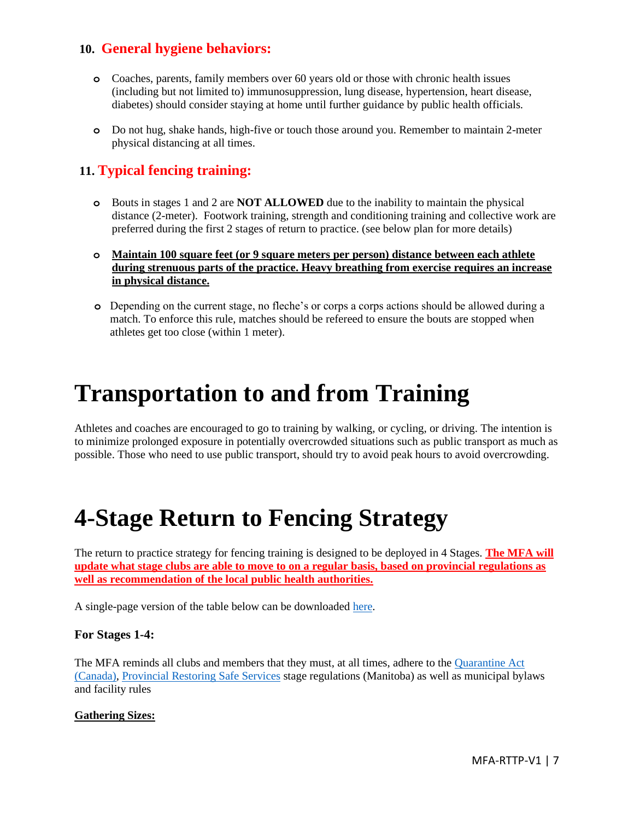### **10. General hygiene behaviors:**

- **o** Coaches, parents, family members over 60 years old or those with chronic health issues (including but not limited to) immunosuppression, lung disease, hypertension, heart disease, diabetes) should consider staying at home until further guidance by public health officials.
- **o** Do not hug, shake hands, high-five or touch those around you. Remember to maintain 2-meter physical distancing at all times.

## **11. Typical fencing training:**

- **o** Bouts in stages 1 and 2 are **NOT ALLOWED** due to the inability to maintain the physical distance (2-meter). Footwork training, strength and conditioning training and collective work are preferred during the first 2 stages of return to practice. (see below plan for more details)
- **o Maintain 100 square feet (or 9 square meters per person) distance between each athlete during strenuous parts of the practice. Heavy breathing from exercise requires an increase in physical distance.**
- **o** Depending on the current stage, no fleche's or corps a corps actions should be allowed during a match. To enforce this rule, matches should be refereed to ensure the bouts are stopped when athletes get too close (within 1 meter).

## **Transportation to and from Training**

Athletes and coaches are encouraged to go to training by walking, or cycling, or driving. The intention is to minimize prolonged exposure in potentially overcrowded situations such as public transport as much as possible. Those who need to use public transport, should try to avoid peak hours to avoid overcrowding.

## **4-Stage Return to Fencing Strategy**

The return to practice strategy for fencing training is designed to be deployed in 4 Stages. **The MFA will update what stage clubs are able to move to on a regular basis, based on provincial regulations as well as recommendation of the local public health authorities.** 

A single-page version of the table below can be downloaded [here.](http://manitobafencing.goalline.ca/news_images/org_3529/files/Return%20to%20Practice%20Stages%20Chart.jpg)

#### **For Stages 1-4:**

The MFA reminds all clubs and members that they must, at all times, adhere to the [Quarantine Act](https://laws-lois.justice.gc.ca/eng/acts/q-1.1/index.html)  [\(Canada\),](https://laws-lois.justice.gc.ca/eng/acts/q-1.1/index.html) [Provincial Restoring Safe Services](https://www.manitoba.ca/covid19/restoring/guidelines.html) stage regulations (Manitoba) as well as municipal bylaws and facility rules

#### **Gathering Sizes:**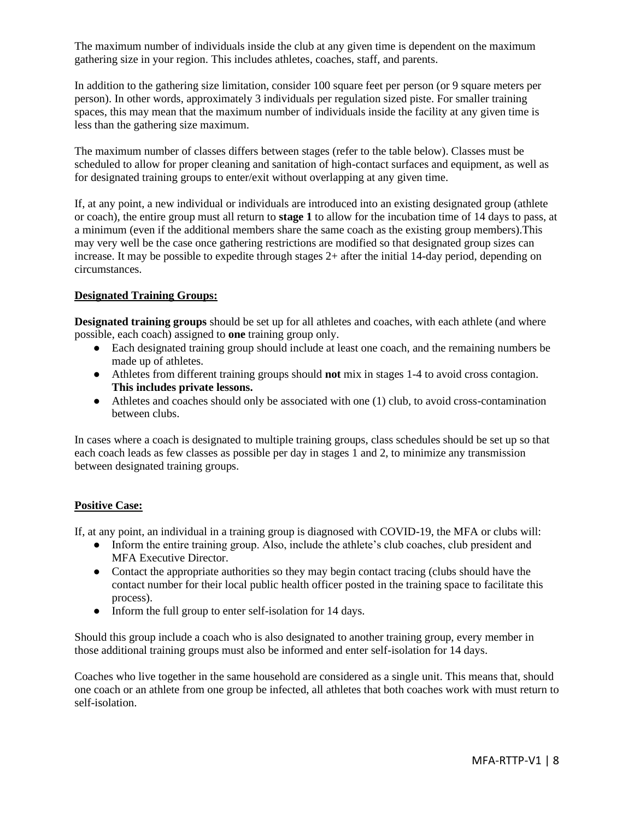The maximum number of individuals inside the club at any given time is dependent on the maximum gathering size in your region. This includes athletes, coaches, staff, and parents.

In addition to the gathering size limitation, consider 100 square feet per person (or 9 square meters per person). In other words, approximately 3 individuals per regulation sized piste. For smaller training spaces, this may mean that the maximum number of individuals inside the facility at any given time is less than the gathering size maximum.

The maximum number of classes differs between stages (refer to the table below). Classes must be scheduled to allow for proper cleaning and sanitation of high-contact surfaces and equipment, as well as for designated training groups to enter/exit without overlapping at any given time.

If, at any point, a new individual or individuals are introduced into an existing designated group (athlete or coach), the entire group must all return to **stage 1** to allow for the incubation time of 14 days to pass, at a minimum (even if the additional members share the same coach as the existing group members).This may very well be the case once gathering restrictions are modified so that designated group sizes can increase. It may be possible to expedite through stages 2+ after the initial 14-day period, depending on circumstances.

#### **Designated Training Groups:**

**Designated training groups** should be set up for all athletes and coaches, with each athlete (and where possible, each coach) assigned to **one** training group only.

- Each designated training group should include at least one coach, and the remaining numbers be made up of athletes.
- Athletes from different training groups should **not** mix in stages 1-4 to avoid cross contagion. **This includes private lessons.**
- Athletes and coaches should only be associated with one (1) club, to avoid cross-contamination between clubs.

In cases where a coach is designated to multiple training groups, class schedules should be set up so that each coach leads as few classes as possible per day in stages 1 and 2, to minimize any transmission between designated training groups.

#### **Positive Case:**

If, at any point, an individual in a training group is diagnosed with COVID-19, the MFA or clubs will:

- Inform the entire training group. Also, include the athlete's club coaches, club president and MFA Executive Director.
- Contact the appropriate authorities so they may begin contact tracing (clubs should have the contact number for their local public health officer posted in the training space to facilitate this process).
- Inform the full group to enter self-isolation for 14 days.

Should this group include a coach who is also designated to another training group, every member in those additional training groups must also be informed and enter self-isolation for 14 days.

Coaches who live together in the same household are considered as a single unit. This means that, should one coach or an athlete from one group be infected, all athletes that both coaches work with must return to self-isolation.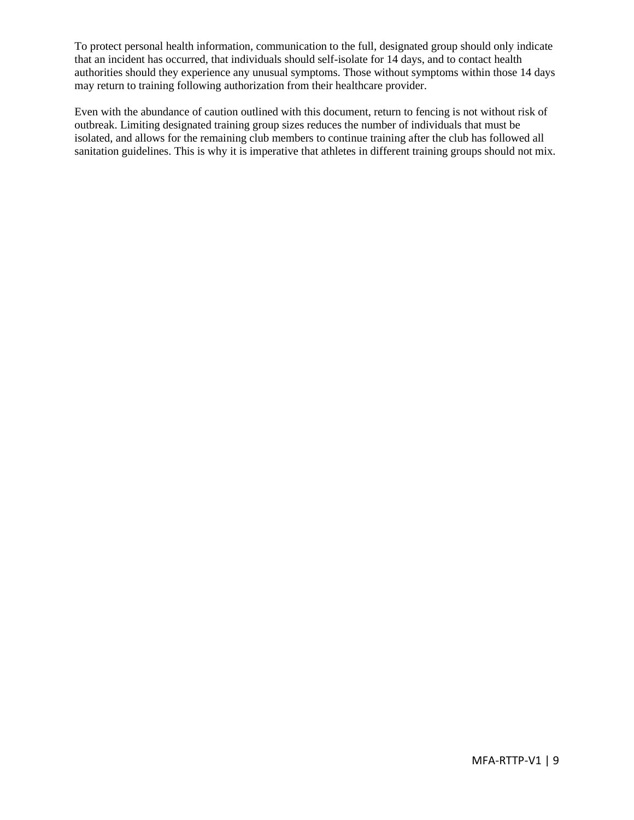To protect personal health information, communication to the full, designated group should only indicate that an incident has occurred, that individuals should self-isolate for 14 days, and to contact health authorities should they experience any unusual symptoms. Those without symptoms within those 14 days may return to training following authorization from their healthcare provider.

Even with the abundance of caution outlined with this document, return to fencing is not without risk of outbreak. Limiting designated training group sizes reduces the number of individuals that must be isolated, and allows for the remaining club members to continue training after the club has followed all sanitation guidelines. This is why it is imperative that athletes in different training groups should not mix.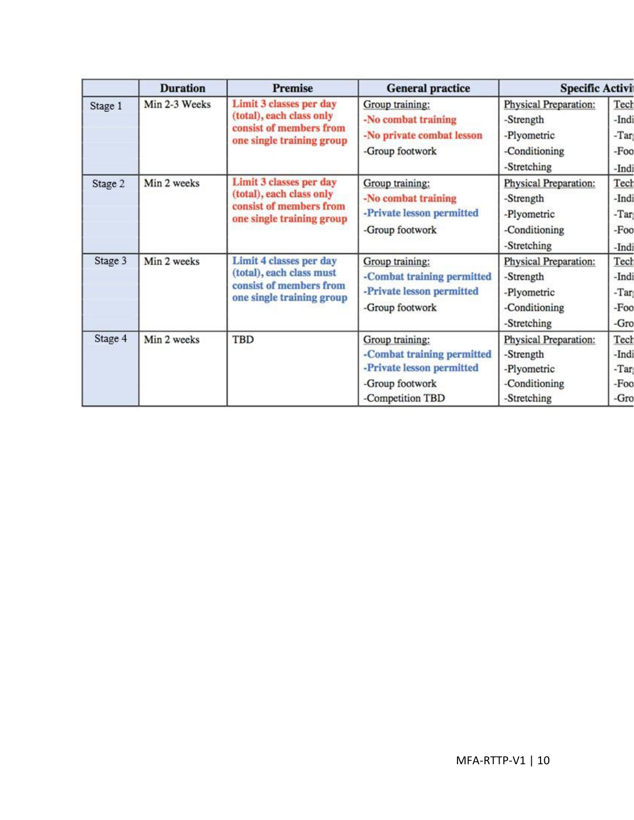|         | <b>Duration</b> | <b>Premise</b>                                                                                              | <b>General practice</b>                                                                                           | <b>Specific Activi</b>                                                            |                                          |
|---------|-----------------|-------------------------------------------------------------------------------------------------------------|-------------------------------------------------------------------------------------------------------------------|-----------------------------------------------------------------------------------|------------------------------------------|
| Stage 1 | Min 2-3 Weeks   | Limit 3 classes per day<br>(total), each class only<br>consist of members from<br>one single training group | Group training:<br>-No combat training<br>-No private combat lesson<br>-Group footwork                            | Physical Preparation:<br>-Strength<br>-Plyometric<br>-Conditioning<br>-Stretching | Tech<br>-Indi<br>-Tar<br>-Foo<br>-Ind    |
| Stage 2 | Min 2 weeks     | Limit 3 classes per day<br>(total), each class only<br>consist of members from<br>one single training group | Group training:<br>-No combat training<br>-Private lesson permitted<br>-Group footwork                            | Physical Preparation:<br>-Strength<br>-Plyometric<br>-Conditioning<br>-Stretching | Tech<br>-Ind<br>-Tar<br>-Foc<br>$-Ind$   |
| Stage 3 | Min 2 weeks     | Limit 4 classes per day<br>(total), each class must<br>consist of members from<br>one single training group | Group training:<br>-Combat training permitted<br>-Private lesson permitted<br>-Group footwork                     | Physical Preparation:<br>-Strength<br>-Plyometric<br>-Conditioning<br>-Stretching | Tech<br>-Ind<br>-Tar<br>$-Foo$<br>$-Gro$ |
| Stage 4 | Min 2 weeks     | <b>TBD</b>                                                                                                  | Group training:<br>-Combat training permitted<br>-Private lesson permitted<br>-Group footwork<br>-Competition TBD | Physical Preparation:<br>-Strength<br>-Plyometric<br>-Conditioning<br>-Stretching | Tech<br>-Ind<br>-Tar<br>$-Foc$<br>-Gro   |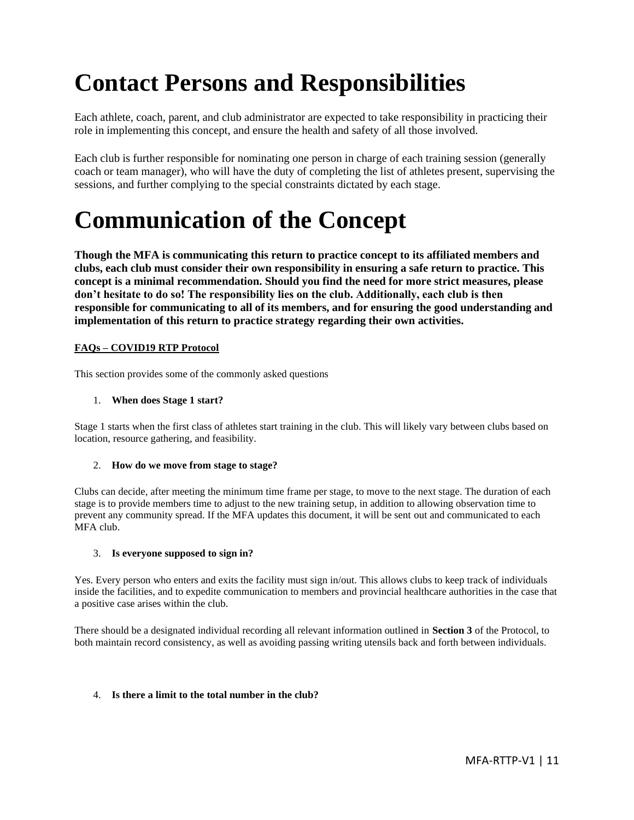# **Contact Persons and Responsibilities**

Each athlete, coach, parent, and club administrator are expected to take responsibility in practicing their role in implementing this concept, and ensure the health and safety of all those involved.

Each club is further responsible for nominating one person in charge of each training session (generally coach or team manager), who will have the duty of completing the list of athletes present, supervising the sessions, and further complying to the special constraints dictated by each stage.

# **Communication of the Concept**

**Though the MFA is communicating this return to practice concept to its affiliated members and clubs, each club must consider their own responsibility in ensuring a safe return to practice. This concept is a minimal recommendation. Should you find the need for more strict measures, please don't hesitate to do so! The responsibility lies on the club. Additionally, each club is then responsible for communicating to all of its members, and for ensuring the good understanding and implementation of this return to practice strategy regarding their own activities.** 

#### **FAQs – COVID19 RTP Protocol**

This section provides some of the commonly asked questions

#### 1. **When does Stage 1 start?**

Stage 1 starts when the first class of athletes start training in the club. This will likely vary between clubs based on location, resource gathering, and feasibility.

#### 2. **How do we move from stage to stage?**

Clubs can decide, after meeting the minimum time frame per stage, to move to the next stage. The duration of each stage is to provide members time to adjust to the new training setup, in addition to allowing observation time to prevent any community spread. If the MFA updates this document, it will be sent out and communicated to each MFA club.

#### 3. **Is everyone supposed to sign in?**

Yes. Every person who enters and exits the facility must sign in/out. This allows clubs to keep track of individuals inside the facilities, and to expedite communication to members and provincial healthcare authorities in the case that a positive case arises within the club.

There should be a designated individual recording all relevant information outlined in **Section 3** of the Protocol, to both maintain record consistency, as well as avoiding passing writing utensils back and forth between individuals.

#### 4. **Is there a limit to the total number in the club?**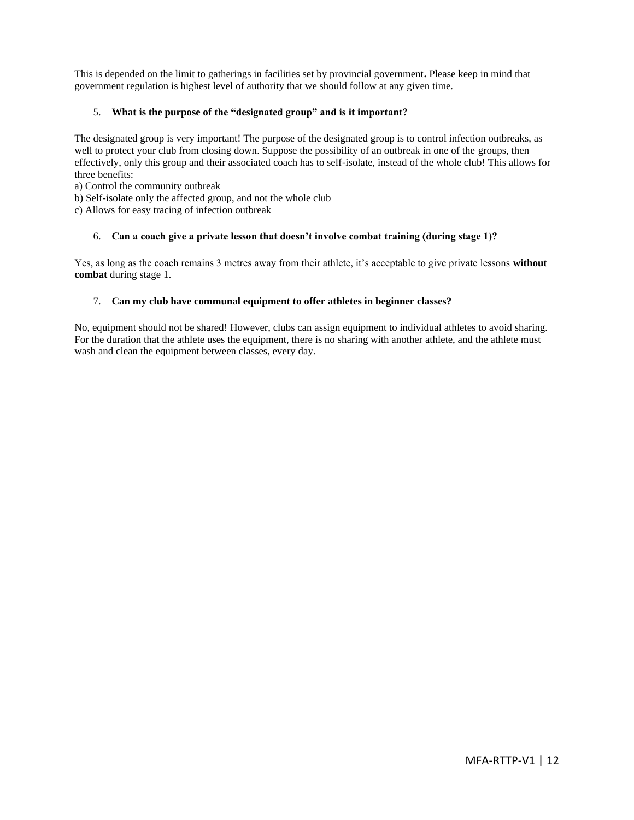This is depended on the limit to gatherings in facilities set by provincial government**.** Please keep in mind that government regulation is highest level of authority that we should follow at any given time.

#### 5. **What is the purpose of the "designated group" and is it important?**

The designated group is very important! The purpose of the designated group is to control infection outbreaks, as well to protect your club from closing down. Suppose the possibility of an outbreak in one of the groups, then effectively, only this group and their associated coach has to self-isolate, instead of the whole club! This allows for three benefits:

- a) Control the community outbreak
- b) Self-isolate only the affected group, and not the whole club
- c) Allows for easy tracing of infection outbreak

#### 6. **Can a coach give a private lesson that doesn't involve combat training (during stage 1)?**

Yes, as long as the coach remains 3 metres away from their athlete, it's acceptable to give private lessons **without combat** during stage 1.

#### 7. **Can my club have communal equipment to offer athletes in beginner classes?**

No, equipment should not be shared! However, clubs can assign equipment to individual athletes to avoid sharing. For the duration that the athlete uses the equipment, there is no sharing with another athlete, and the athlete must wash and clean the equipment between classes, every day.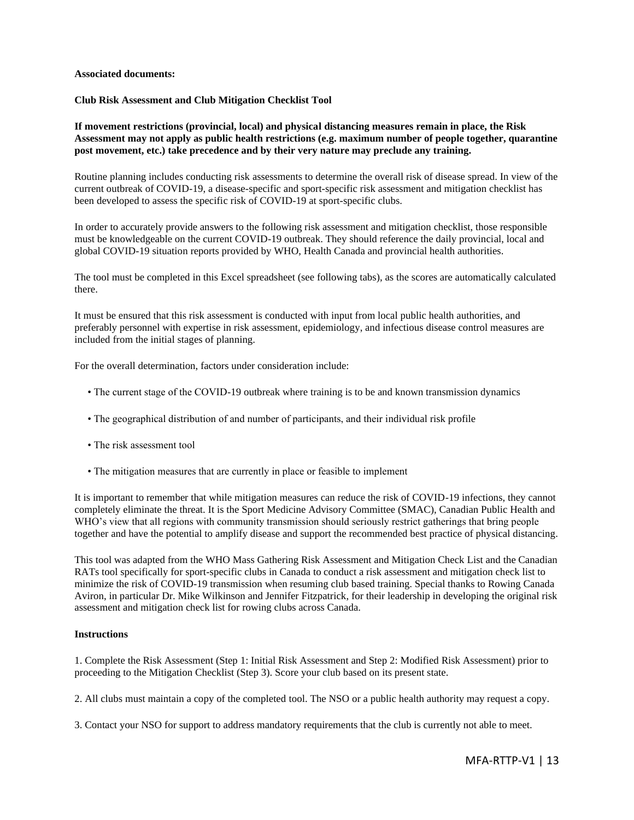#### **Associated documents:**

#### **Club Risk Assessment and Club Mitigation Checklist Tool**

#### **If movement restrictions (provincial, local) and physical distancing measures remain in place, the Risk Assessment may not apply as public health restrictions (e.g. maximum number of people together, quarantine post movement, etc.) take precedence and by their very nature may preclude any training.**

Routine planning includes conducting risk assessments to determine the overall risk of disease spread. In view of the current outbreak of COVID-19, a disease-specific and sport-specific risk assessment and mitigation checklist has been developed to assess the specific risk of COVID-19 at sport-specific clubs.

In order to accurately provide answers to the following risk assessment and mitigation checklist, those responsible must be knowledgeable on the current COVID-19 outbreak. They should reference the daily provincial, local and global COVID-19 situation reports provided by WHO, Health Canada and provincial health authorities.

The tool must be completed in this Excel spreadsheet (see following tabs), as the scores are automatically calculated there.

It must be ensured that this risk assessment is conducted with input from local public health authorities, and preferably personnel with expertise in risk assessment, epidemiology, and infectious disease control measures are included from the initial stages of planning.

For the overall determination, factors under consideration include:

- The current stage of the COVID-19 outbreak where training is to be and known transmission dynamics
- The geographical distribution of and number of participants, and their individual risk profile
- The risk assessment tool
- The mitigation measures that are currently in place or feasible to implement

It is important to remember that while mitigation measures can reduce the risk of COVID-19 infections, they cannot completely eliminate the threat. It is the Sport Medicine Advisory Committee (SMAC), Canadian Public Health and WHO's view that all regions with community transmission should seriously restrict gatherings that bring people together and have the potential to amplify disease and support the recommended best practice of physical distancing.

This tool was adapted from the WHO Mass Gathering Risk Assessment and Mitigation Check List and the Canadian RATs tool specifically for sport-specific clubs in Canada to conduct a risk assessment and mitigation check list to minimize the risk of COVID-19 transmission when resuming club based training. Special thanks to Rowing Canada Aviron, in particular Dr. Mike Wilkinson and Jennifer Fitzpatrick, for their leadership in developing the original risk assessment and mitigation check list for rowing clubs across Canada.

#### **Instructions**

1. Complete the Risk Assessment (Step 1: Initial Risk Assessment and Step 2: Modified Risk Assessment) prior to proceeding to the Mitigation Checklist (Step 3). Score your club based on its present state.

2. All clubs must maintain a copy of the completed tool. The NSO or a public health authority may request a copy.

3. Contact your NSO for support to address mandatory requirements that the club is currently not able to meet.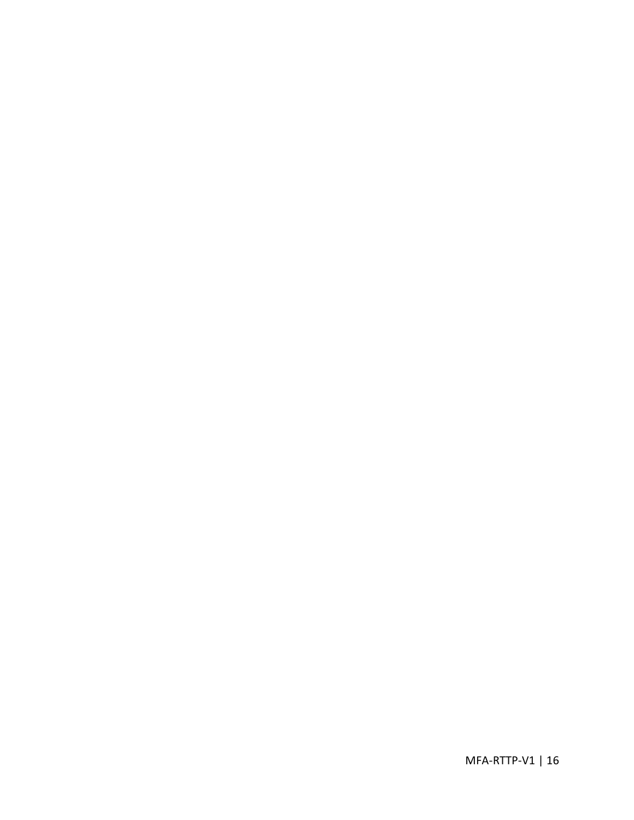MFA-RTTP-V1 | 16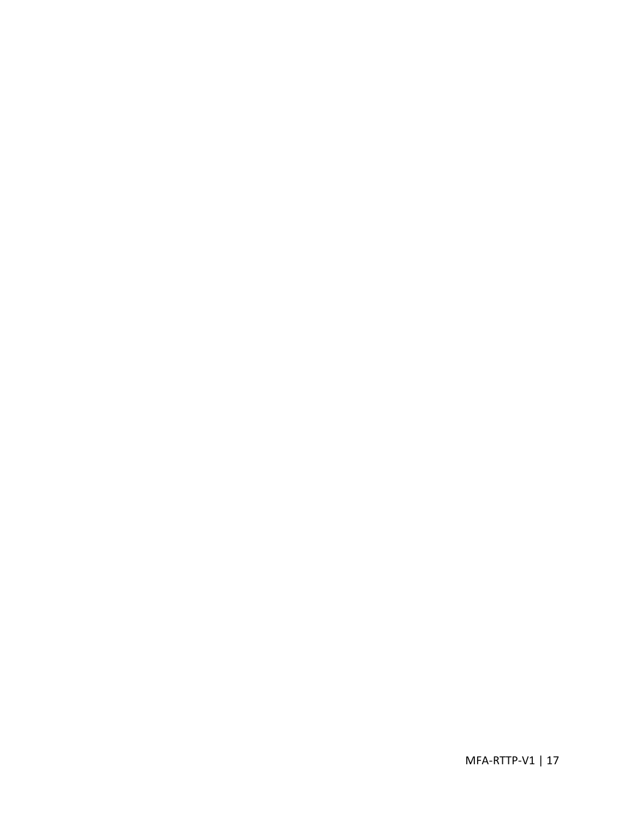MFA-RTTP-V1 | 17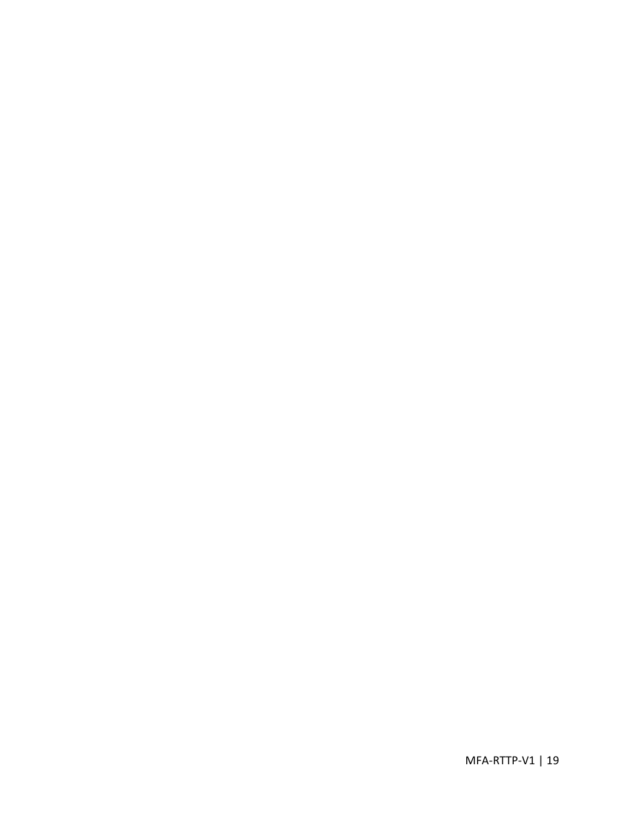MFA-RTTP-V1 | 19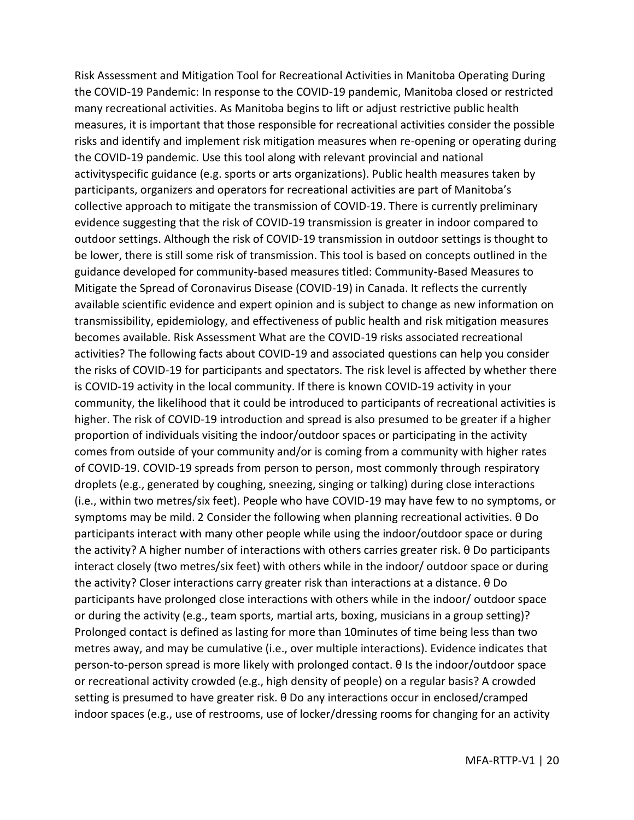Risk Assessment and Mitigation Tool for Recreational Activities in Manitoba Operating During the COVID-19 Pandemic: In response to the COVID-19 pandemic, Manitoba closed or restricted many recreational activities. As Manitoba begins to lift or adjust restrictive public health measures, it is important that those responsible for recreational activities consider the possible risks and identify and implement risk mitigation measures when re-opening or operating during the COVID-19 pandemic. Use this tool along with relevant provincial and national activityspecific guidance (e.g. sports or arts organizations). Public health measures taken by participants, organizers and operators for recreational activities are part of Manitoba's collective approach to mitigate the transmission of COVID-19. There is currently preliminary evidence suggesting that the risk of COVID-19 transmission is greater in indoor compared to outdoor settings. Although the risk of COVID-19 transmission in outdoor settings is thought to be lower, there is still some risk of transmission. This tool is based on concepts outlined in the guidance developed for community-based measures titled: Community-Based Measures to Mitigate the Spread of Coronavirus Disease (COVID-19) in Canada. It reflects the currently available scientific evidence and expert opinion and is subject to change as new information on transmissibility, epidemiology, and effectiveness of public health and risk mitigation measures becomes available. Risk Assessment What are the COVID-19 risks associated recreational activities? The following facts about COVID-19 and associated questions can help you consider the risks of COVID-19 for participants and spectators. The risk level is affected by whether there is COVID-19 activity in the local community. If there is known COVID-19 activity in your community, the likelihood that it could be introduced to participants of recreational activities is higher. The risk of COVID-19 introduction and spread is also presumed to be greater if a higher proportion of individuals visiting the indoor/outdoor spaces or participating in the activity comes from outside of your community and/or is coming from a community with higher rates of COVID-19. COVID-19 spreads from person to person, most commonly through respiratory droplets (e.g., generated by coughing, sneezing, singing or talking) during close interactions (i.e., within two metres/six feet). People who have COVID-19 may have few to no symptoms, or symptoms may be mild. 2 Consider the following when planning recreational activities. θ Do participants interact with many other people while using the indoor/outdoor space or during the activity? A higher number of interactions with others carries greater risk. θ Do participants interact closely (two metres/six feet) with others while in the indoor/ outdoor space or during the activity? Closer interactions carry greater risk than interactions at a distance. θ Do participants have prolonged close interactions with others while in the indoor/ outdoor space or during the activity (e.g., team sports, martial arts, boxing, musicians in a group setting)? Prolonged contact is defined as lasting for more than 10minutes of time being less than two metres away, and may be cumulative (i.e., over multiple interactions). Evidence indicates that person-to-person spread is more likely with prolonged contact. θ Is the indoor/outdoor space or recreational activity crowded (e.g., high density of people) on a regular basis? A crowded setting is presumed to have greater risk. θ Do any interactions occur in enclosed/cramped indoor spaces (e.g., use of restrooms, use of locker/dressing rooms for changing for an activity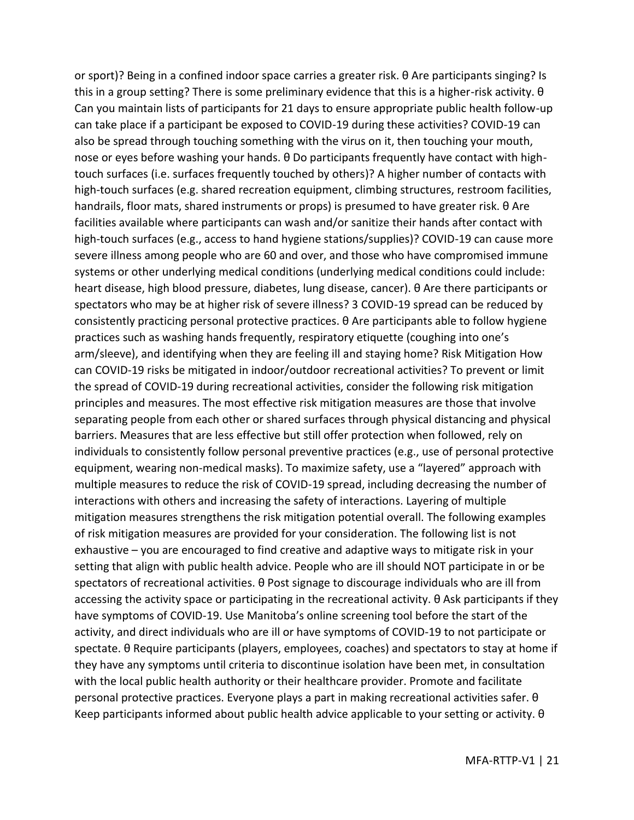or sport)? Being in a confined indoor space carries a greater risk. θ Are participants singing? Is this in a group setting? There is some preliminary evidence that this is a higher-risk activity. θ Can you maintain lists of participants for 21 days to ensure appropriate public health follow-up can take place if a participant be exposed to COVID-19 during these activities? COVID-19 can also be spread through touching something with the virus on it, then touching your mouth, nose or eyes before washing your hands. θ Do participants frequently have contact with hightouch surfaces (i.e. surfaces frequently touched by others)? A higher number of contacts with high-touch surfaces (e.g. shared recreation equipment, climbing structures, restroom facilities, handrails, floor mats, shared instruments or props) is presumed to have greater risk. θ Are facilities available where participants can wash and/or sanitize their hands after contact with high-touch surfaces (e.g., access to hand hygiene stations/supplies)? COVID-19 can cause more severe illness among people who are 60 and over, and those who have compromised immune systems or other underlying medical conditions (underlying medical conditions could include: heart disease, high blood pressure, diabetes, lung disease, cancer). θ Are there participants or spectators who may be at higher risk of severe illness? 3 COVID-19 spread can be reduced by consistently practicing personal protective practices. θ Are participants able to follow hygiene practices such as washing hands frequently, respiratory etiquette (coughing into one's arm/sleeve), and identifying when they are feeling ill and staying home? Risk Mitigation How can COVID-19 risks be mitigated in indoor/outdoor recreational activities? To prevent or limit the spread of COVID-19 during recreational activities, consider the following risk mitigation principles and measures. The most effective risk mitigation measures are those that involve separating people from each other or shared surfaces through physical distancing and physical barriers. Measures that are less effective but still offer protection when followed, rely on individuals to consistently follow personal preventive practices (e.g., use of personal protective equipment, wearing non-medical masks). To maximize safety, use a "layered" approach with multiple measures to reduce the risk of COVID-19 spread, including decreasing the number of interactions with others and increasing the safety of interactions. Layering of multiple mitigation measures strengthens the risk mitigation potential overall. The following examples of risk mitigation measures are provided for your consideration. The following list is not exhaustive – you are encouraged to find creative and adaptive ways to mitigate risk in your setting that align with public health advice. People who are ill should NOT participate in or be spectators of recreational activities. θ Post signage to discourage individuals who are ill from accessing the activity space or participating in the recreational activity. θ Ask participants if they have symptoms of COVID-19. Use Manitoba's online screening tool before the start of the activity, and direct individuals who are ill or have symptoms of COVID-19 to not participate or spectate. θ Require participants (players, employees, coaches) and spectators to stay at home if they have any symptoms until criteria to discontinue isolation have been met, in consultation with the local public health authority or their healthcare provider. Promote and facilitate personal protective practices. Everyone plays a part in making recreational activities safer. θ Keep participants informed about public health advice applicable to your setting or activity. θ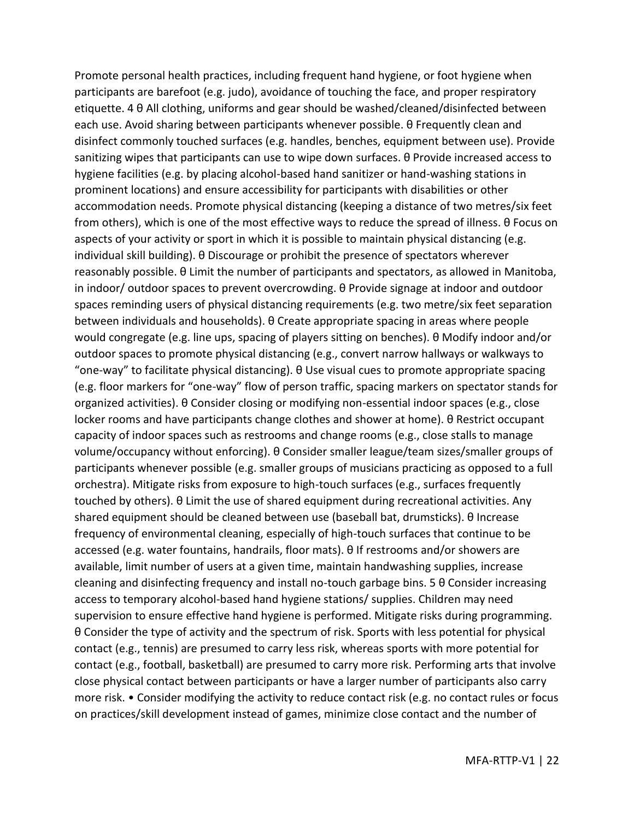Promote personal health practices, including frequent hand hygiene, or foot hygiene when participants are barefoot (e.g. judo), avoidance of touching the face, and proper respiratory etiquette. 4 θ All clothing, uniforms and gear should be washed/cleaned/disinfected between each use. Avoid sharing between participants whenever possible. θ Frequently clean and disinfect commonly touched surfaces (e.g. handles, benches, equipment between use). Provide sanitizing wipes that participants can use to wipe down surfaces. θ Provide increased access to hygiene facilities (e.g. by placing alcohol-based hand sanitizer or hand-washing stations in prominent locations) and ensure accessibility for participants with disabilities or other accommodation needs. Promote physical distancing (keeping a distance of two metres/six feet from others), which is one of the most effective ways to reduce the spread of illness. θ Focus on aspects of your activity or sport in which it is possible to maintain physical distancing (e.g. individual skill building). θ Discourage or prohibit the presence of spectators wherever reasonably possible. θ Limit the number of participants and spectators, as allowed in Manitoba, in indoor/ outdoor spaces to prevent overcrowding. θ Provide signage at indoor and outdoor spaces reminding users of physical distancing requirements (e.g. two metre/six feet separation between individuals and households). θ Create appropriate spacing in areas where people would congregate (e.g. line ups, spacing of players sitting on benches). θ Modify indoor and/or outdoor spaces to promote physical distancing (e.g., convert narrow hallways or walkways to "one-way" to facilitate physical distancing). θ Use visual cues to promote appropriate spacing (e.g. floor markers for "one-way" flow of person traffic, spacing markers on spectator stands for organized activities). θ Consider closing or modifying non-essential indoor spaces (e.g., close locker rooms and have participants change clothes and shower at home). θ Restrict occupant capacity of indoor spaces such as restrooms and change rooms (e.g., close stalls to manage volume/occupancy without enforcing). θ Consider smaller league/team sizes/smaller groups of participants whenever possible (e.g. smaller groups of musicians practicing as opposed to a full orchestra). Mitigate risks from exposure to high-touch surfaces (e.g., surfaces frequently touched by others). θ Limit the use of shared equipment during recreational activities. Any shared equipment should be cleaned between use (baseball bat, drumsticks). θ Increase frequency of environmental cleaning, especially of high-touch surfaces that continue to be accessed (e.g. water fountains, handrails, floor mats). θ If restrooms and/or showers are available, limit number of users at a given time, maintain handwashing supplies, increase cleaning and disinfecting frequency and install no-touch garbage bins. 5 θ Consider increasing access to temporary alcohol-based hand hygiene stations/ supplies. Children may need supervision to ensure effective hand hygiene is performed. Mitigate risks during programming. θ Consider the type of activity and the spectrum of risk. Sports with less potential for physical contact (e.g., tennis) are presumed to carry less risk, whereas sports with more potential for contact (e.g., football, basketball) are presumed to carry more risk. Performing arts that involve close physical contact between participants or have a larger number of participants also carry more risk. • Consider modifying the activity to reduce contact risk (e.g. no contact rules or focus on practices/skill development instead of games, minimize close contact and the number of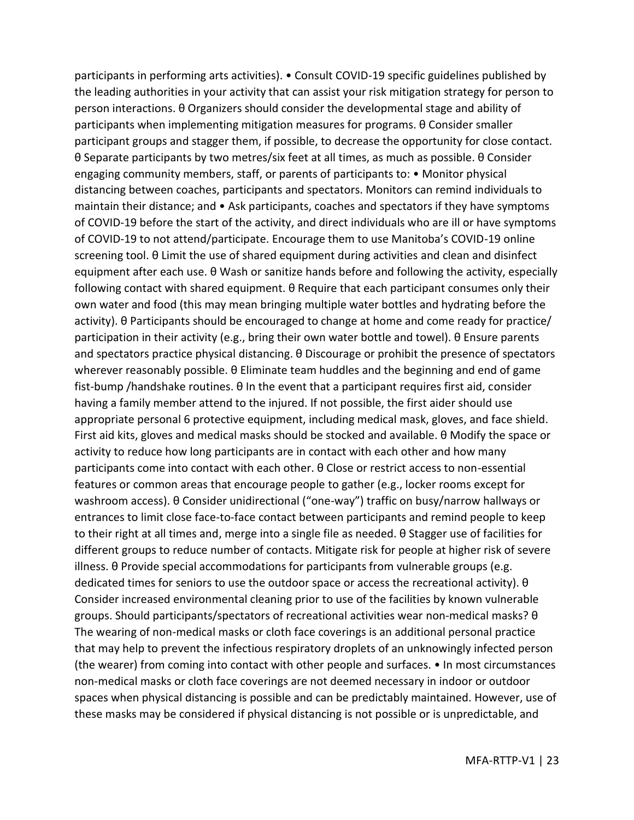participants in performing arts activities). • Consult COVID-19 specific guidelines published by the leading authorities in your activity that can assist your risk mitigation strategy for person to person interactions. θ Organizers should consider the developmental stage and ability of participants when implementing mitigation measures for programs. θ Consider smaller participant groups and stagger them, if possible, to decrease the opportunity for close contact. θ Separate participants by two metres/six feet at all times, as much as possible. θ Consider engaging community members, staff, or parents of participants to: • Monitor physical distancing between coaches, participants and spectators. Monitors can remind individuals to maintain their distance; and • Ask participants, coaches and spectators if they have symptoms of COVID-19 before the start of the activity, and direct individuals who are ill or have symptoms of COVID-19 to not attend/participate. Encourage them to use Manitoba's COVID-19 online screening tool. θ Limit the use of shared equipment during activities and clean and disinfect equipment after each use. θ Wash or sanitize hands before and following the activity, especially following contact with shared equipment. θ Require that each participant consumes only their own water and food (this may mean bringing multiple water bottles and hydrating before the activity). θ Participants should be encouraged to change at home and come ready for practice/ participation in their activity (e.g., bring their own water bottle and towel). θ Ensure parents and spectators practice physical distancing. θ Discourage or prohibit the presence of spectators wherever reasonably possible. θ Eliminate team huddles and the beginning and end of game fist-bump /handshake routines. θ In the event that a participant requires first aid, consider having a family member attend to the injured. If not possible, the first aider should use appropriate personal 6 protective equipment, including medical mask, gloves, and face shield. First aid kits, gloves and medical masks should be stocked and available. θ Modify the space or activity to reduce how long participants are in contact with each other and how many participants come into contact with each other. θ Close or restrict access to non-essential features or common areas that encourage people to gather (e.g., locker rooms except for washroom access). θ Consider unidirectional ("one-way") traffic on busy/narrow hallways or entrances to limit close face-to-face contact between participants and remind people to keep to their right at all times and, merge into a single file as needed. θ Stagger use of facilities for different groups to reduce number of contacts. Mitigate risk for people at higher risk of severe illness. θ Provide special accommodations for participants from vulnerable groups (e.g. dedicated times for seniors to use the outdoor space or access the recreational activity). θ Consider increased environmental cleaning prior to use of the facilities by known vulnerable groups. Should participants/spectators of recreational activities wear non-medical masks? θ The wearing of non-medical masks or cloth face coverings is an additional personal practice that may help to prevent the infectious respiratory droplets of an unknowingly infected person (the wearer) from coming into contact with other people and surfaces. • In most circumstances non-medical masks or cloth face coverings are not deemed necessary in indoor or outdoor spaces when physical distancing is possible and can be predictably maintained. However, use of these masks may be considered if physical distancing is not possible or is unpredictable, and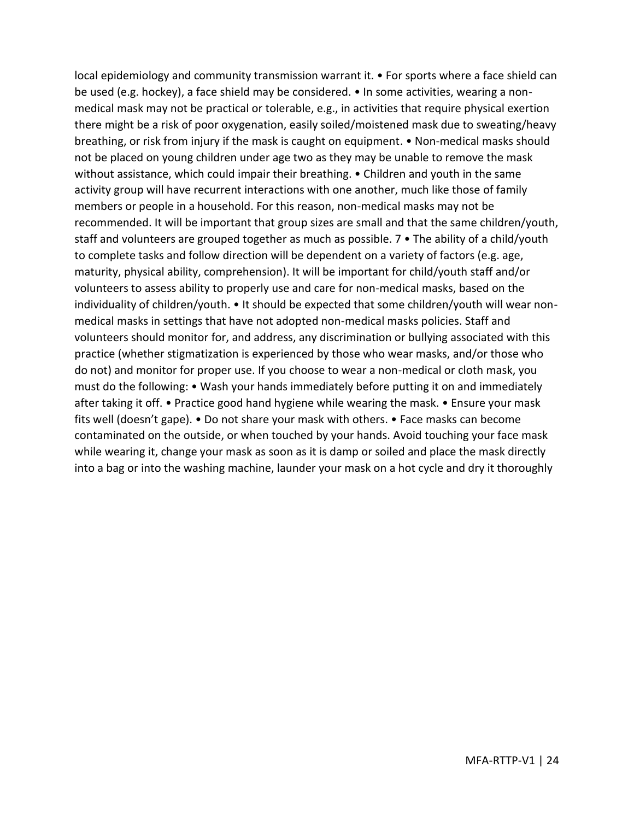local epidemiology and community transmission warrant it. • For sports where a face shield can be used (e.g. hockey), a face shield may be considered. • In some activities, wearing a nonmedical mask may not be practical or tolerable, e.g., in activities that require physical exertion there might be a risk of poor oxygenation, easily soiled/moistened mask due to sweating/heavy breathing, or risk from injury if the mask is caught on equipment. • Non-medical masks should not be placed on young children under age two as they may be unable to remove the mask without assistance, which could impair their breathing. • Children and youth in the same activity group will have recurrent interactions with one another, much like those of family members or people in a household. For this reason, non-medical masks may not be recommended. It will be important that group sizes are small and that the same children/youth, staff and volunteers are grouped together as much as possible. 7 • The ability of a child/youth to complete tasks and follow direction will be dependent on a variety of factors (e.g. age, maturity, physical ability, comprehension). It will be important for child/youth staff and/or volunteers to assess ability to properly use and care for non-medical masks, based on the individuality of children/youth. • It should be expected that some children/youth will wear nonmedical masks in settings that have not adopted non-medical masks policies. Staff and volunteers should monitor for, and address, any discrimination or bullying associated with this practice (whether stigmatization is experienced by those who wear masks, and/or those who do not) and monitor for proper use. If you choose to wear a non-medical or cloth mask, you must do the following: • Wash your hands immediately before putting it on and immediately after taking it off. • Practice good hand hygiene while wearing the mask. • Ensure your mask fits well (doesn't gape). • Do not share your mask with others. • Face masks can become contaminated on the outside, or when touched by your hands. Avoid touching your face mask while wearing it, change your mask as soon as it is damp or soiled and place the mask directly into a bag or into the washing machine, launder your mask on a hot cycle and dry it thoroughly